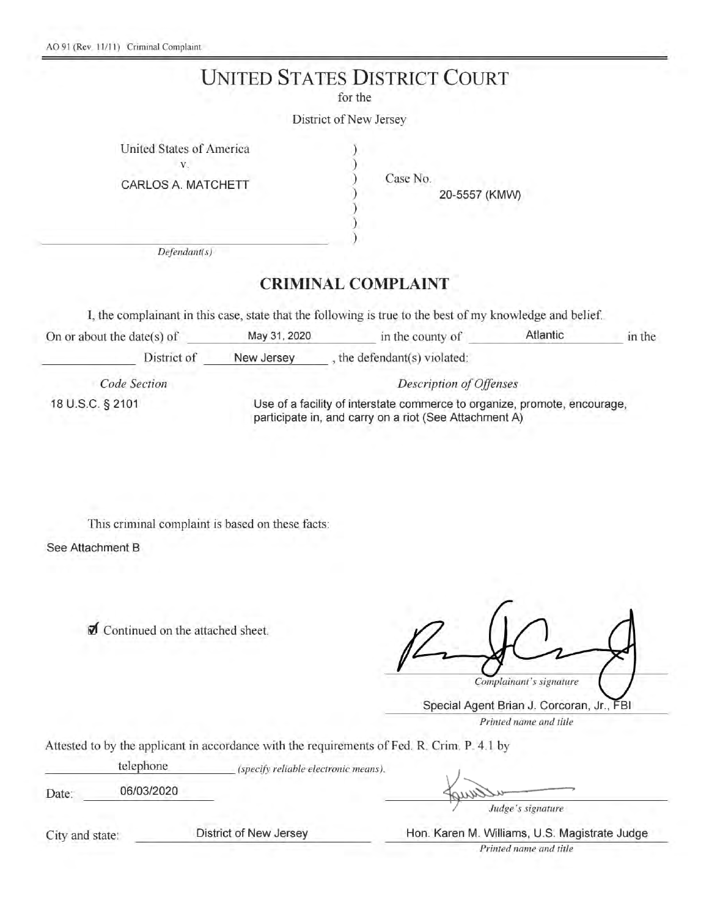## **UNITED STATES DISTRICT COURT**

for the

District of New Jersey

|  | United States of America |
|--|--------------------------|
|  |                          |

CARLOS A. MATCHETT

Case No.

20-5557 (KMW)

 $Defendant(s)$ 

### **CRIMINAL COMPLAINT**

I, the complainant in this case, state that the following is true to the best of my knowledge and belief.

| On or about the date( $s$ ) of | May 31, 2020                                                                                                                        | in the county of           | <b>Atlantic</b> | in the |  |
|--------------------------------|-------------------------------------------------------------------------------------------------------------------------------------|----------------------------|-----------------|--------|--|
| District of                    | New Jersey                                                                                                                          | the defendant(s) violated: |                 |        |  |
| Code Section                   | Description of Offenses                                                                                                             |                            |                 |        |  |
| 18 U.S.C. § 2101               | Use of a facility of interstate commerce to organize, promote, encourage,<br>participate in, and carry on a riot (See Attachment A) |                            |                 |        |  |

This criminal complaint is based on these facts:

See Attachment B

Continued on the attached sheet.

Complainant's signature

Special Agent Brian J. Corcoran, Jr., FBI Printed name and title

Attested to by the applicant in accordance with the requirements of Fed. R. Crim. P. 4.1 by

telephone (specify reliable electronic means). 06/03/2020 Date:

Judge's signature

City and state:

District of New Jersey

Hon. Karen M. Williams, U.S. Magistrate Judge

Printed name and title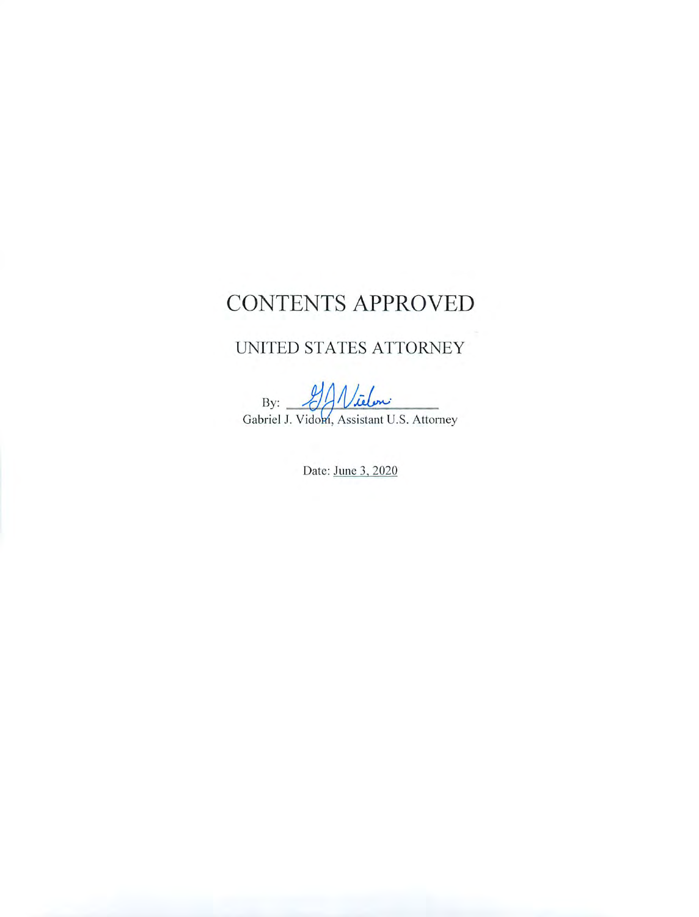# CONTENTS APPROVED

### UNITED STATES ATTORNEY

Vielen By: Gabriel J. Vidom, Assistant U.S. Attorney

Date: June 3, 2020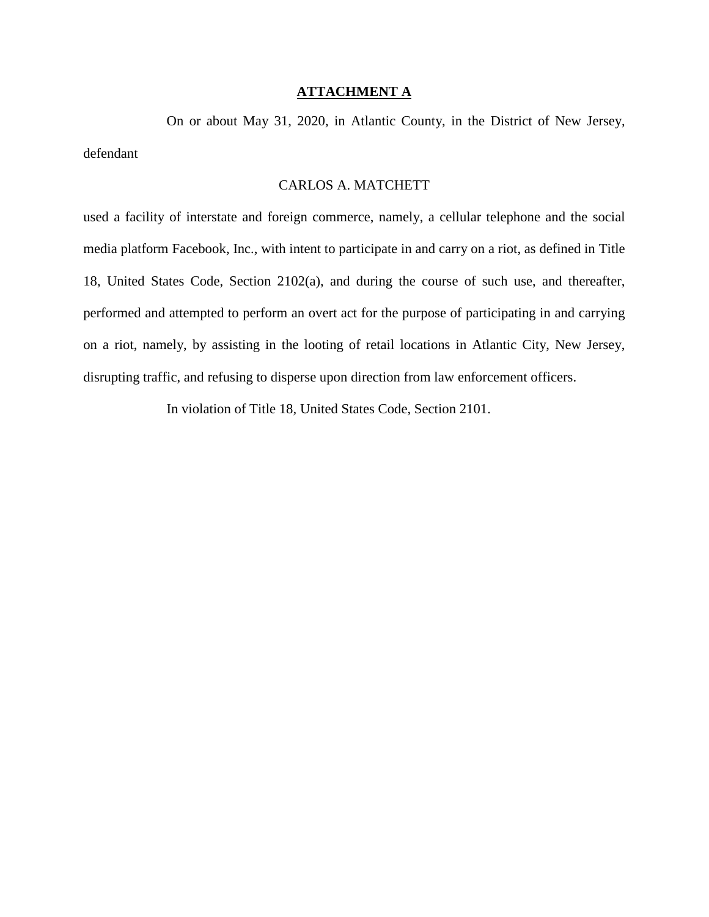#### **ATTACHMENT A**

 On or about May 31, 2020, in Atlantic County, in the District of New Jersey, defendant

#### CARLOS A. MATCHETT

used a facility of interstate and foreign commerce, namely, a cellular telephone and the social media platform Facebook, Inc., with intent to participate in and carry on a riot, as defined in Title 18, United States Code, Section 2102(a), and during the course of such use, and thereafter, performed and attempted to perform an overt act for the purpose of participating in and carrying on a riot, namely, by assisting in the looting of retail locations in Atlantic City, New Jersey, disrupting traffic, and refusing to disperse upon direction from law enforcement officers.

In violation of Title 18, United States Code, Section 2101.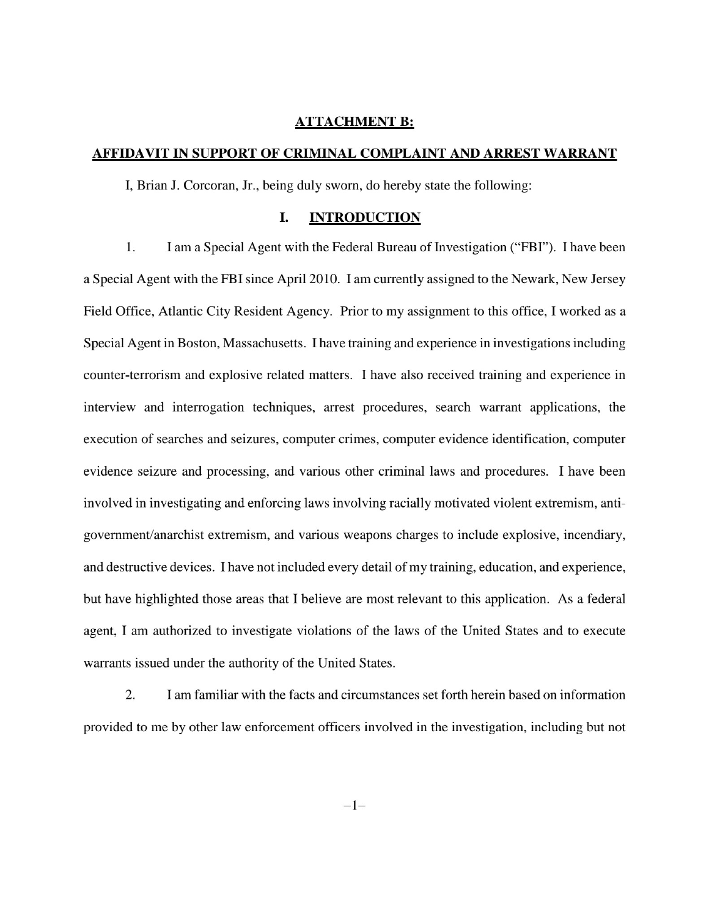#### **ATTACHMENT B:**

#### AFFIDAVIT IN SUPPORT OF CRIMINAL COMPLAINT AND ARREST WARRANT

I, Brian J. Corcoran, Jr., being duly sworn, do hereby state the following:

#### I. **INTRODUCTION**

 $1.$ I am a Special Agent with the Federal Bureau of Investigation ("FBI"). I have been a Special Agent with the FBI since April 2010. I am currently assigned to the Newark, New Jersey Field Office, Atlantic City Resident Agency. Prior to my assignment to this office, I worked as a Special Agent in Boston, Massachusetts. I have training and experience in investigations including counter-terrorism and explosive related matters. I have also received training and experience in interview and interrogation techniques, arrest procedures, search warrant applications, the execution of searches and seizures, computer crimes, computer evidence identification, computer evidence seizure and processing, and various other criminal laws and procedures. I have been involved in investigating and enforcing laws involving racially motivated violent extremism, antigovernment/anarchist extremism, and various weapons charges to include explosive, incendiary, and destructive devices. I have not included every detail of my training, education, and experience, but have highlighted those areas that I believe are most relevant to this application. As a federal agent, I am authorized to investigate violations of the laws of the United States and to execute warrants issued under the authority of the United States.

2. I am familiar with the facts and circumstances set forth herein based on information provided to me by other law enforcement officers involved in the investigation, including but not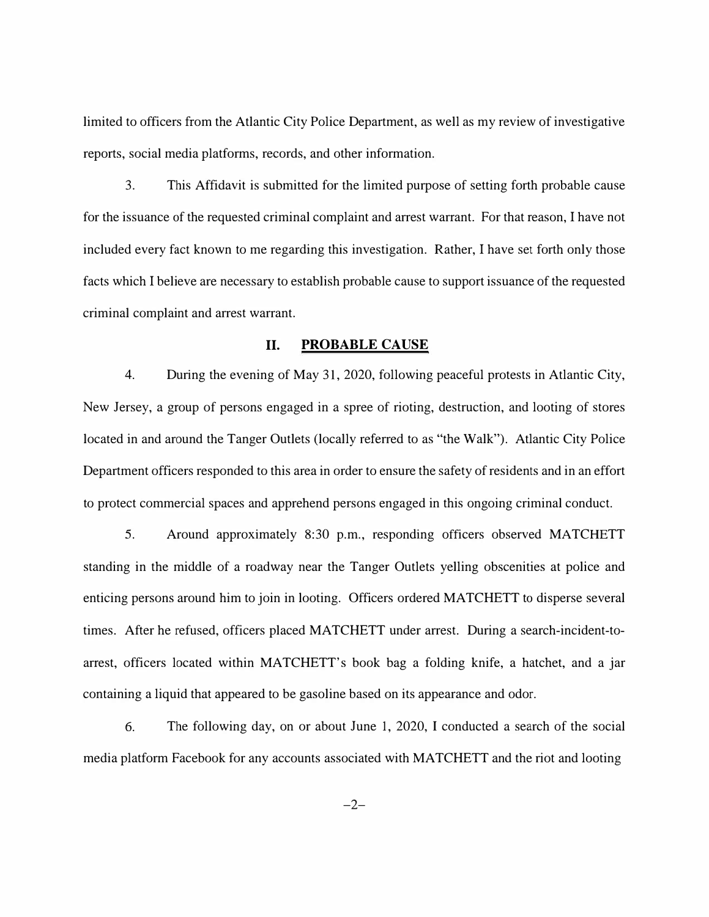limited to officers from the Atlantic City Police Department, as well as my review of investigative reports, social media platforms, records, and other information.

3. This Affidavit is submitted for the limited purpose of setting forth probable cause for the issuance of the requested criminal complaint and arrest warrant. For that reason, I have not included every fact known to me regarding this investigation. Rather, I have set forth only those facts which I believe are necessary to establish probable cause to support issuance of the requested criminal complaint and arrest warrant.

#### **II. PROBABLE CAUSE**

4. During the evening of May 31, 2020, following peaceful protests in Atlantic City, New Jersey, a group of persons engaged in a spree of rioting, destruction, and looting of stores located in and around the Tanger Outlets (locally referred to as "the Walk"). Atlantic City Police Department officers responded to this area in order to ensure the safety of residents and in an effort to protect commercial spaces and apprehend persons engaged in this ongoing criminal conduct.

5. Around approximately 8:30 p.m., responding officers observed MATCHETT standing in the middle of a roadway near the Tanger Outlets yelling obscenities at police and enticing persons around him to join in looting. Officers ordered MATCHETT to disperse several times. After he refused, officers placed MATCHETT under arrest. During a search-incident-toarrest, officers located within MATCHETT' s book bag a folding knife, a hatchet, and a jar containing a liquid that appeared to be gasoline based on its appearance and odor.

6. The following day, on or about June 1, 2020, I conducted a search of the social media platform Facebook for any accounts associated with MATCHETT and the riot and looting

 $-2-$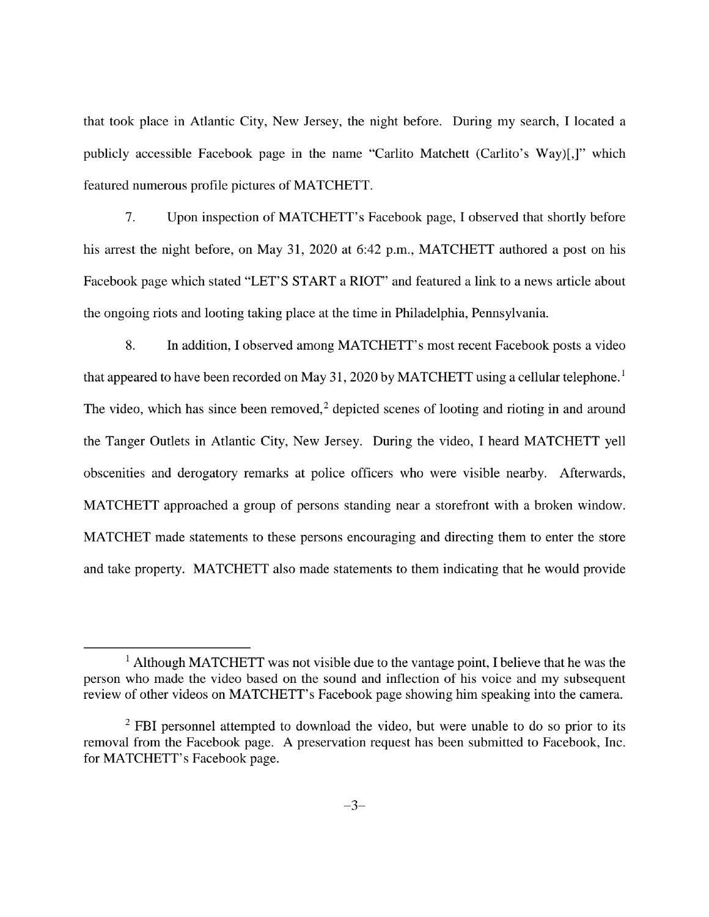that took place in Atlantic City, New Jersey, the night before. During my search, I located a publicly accessible Facebook page in the name "Carlito Matchett (Carlito's Way)[,]" which featured numerous profile pictures of MATCHETT.

7. Upon inspection of MATCHETT's Facebook page, I observed that shortly before his arrest the night before, on May 31, 2020 at 6:42 p.m., MATCHETT authored a post on his Facebook page which stated "LET'S START a RIOT" and featured a link to a news article about the ongoing riots and looting taking place at the time in Philadelphia, Pennsylvania.

8. In addition, I observed among MATCHETT's most recent Facebook posts a video that appeared to have been recorded on May 31, 2020 by MATCHETT using a cellular telephone.<sup>1</sup> The video, which has since been removed,<sup>2</sup> depicted scenes of looting and rioting in and around the Tanger Outlets in Atlantic City, New Jersey. During the video, I heard MATCHETT yell obscenities and derogatory remarks at police officers who were visible nearby. Afterwards, MATCHETT approached a group of persons standing near a storefront with a broken window. MATCHET made statements to these persons encouraging and directing them to enter the store and take property. MATCHETT also made statements to them indicating that he would provide

 $<sup>1</sup>$  Although MATCHETT was not visible due to the vantage point, I believe that he was the</sup> person who made the video based on the sound and inflection of his voice and my subsequent review of other videos on MATCHETT's Facebook page showing him speaking into the camera.

<sup>&</sup>lt;sup>2</sup> FBI personnel attempted to download the video, but were unable to do so prior to its removal from the Facebook page. A preservation request has been submitted to Facebook, Inc. for MATCHETT's Facebook page.